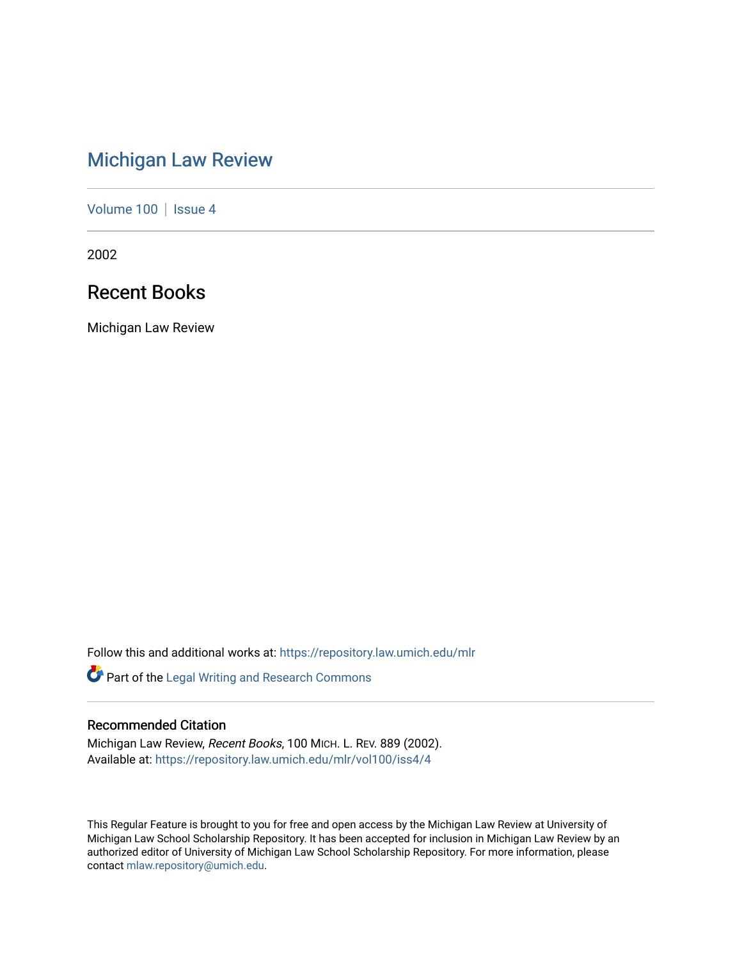# [Michigan Law Review](https://repository.law.umich.edu/mlr)

[Volume 100](https://repository.law.umich.edu/mlr/vol100) | [Issue 4](https://repository.law.umich.edu/mlr/vol100/iss4)

2002

# Recent Books

Michigan Law Review

Follow this and additional works at: [https://repository.law.umich.edu/mlr](https://repository.law.umich.edu/mlr?utm_source=repository.law.umich.edu%2Fmlr%2Fvol100%2Fiss4%2F4&utm_medium=PDF&utm_campaign=PDFCoverPages) 

Part of the [Legal Writing and Research Commons](http://network.bepress.com/hgg/discipline/614?utm_source=repository.law.umich.edu%2Fmlr%2Fvol100%2Fiss4%2F4&utm_medium=PDF&utm_campaign=PDFCoverPages) 

# Recommended Citation

Michigan Law Review, Recent Books, 100 MICH. L. REV. 889 (2002). Available at: [https://repository.law.umich.edu/mlr/vol100/iss4/4](https://repository.law.umich.edu/mlr/vol100/iss4/4?utm_source=repository.law.umich.edu%2Fmlr%2Fvol100%2Fiss4%2F4&utm_medium=PDF&utm_campaign=PDFCoverPages) 

This Regular Feature is brought to you for free and open access by the Michigan Law Review at University of Michigan Law School Scholarship Repository. It has been accepted for inclusion in Michigan Law Review by an authorized editor of University of Michigan Law School Scholarship Repository. For more information, please contact [mlaw.repository@umich.edu](mailto:mlaw.repository@umich.edu).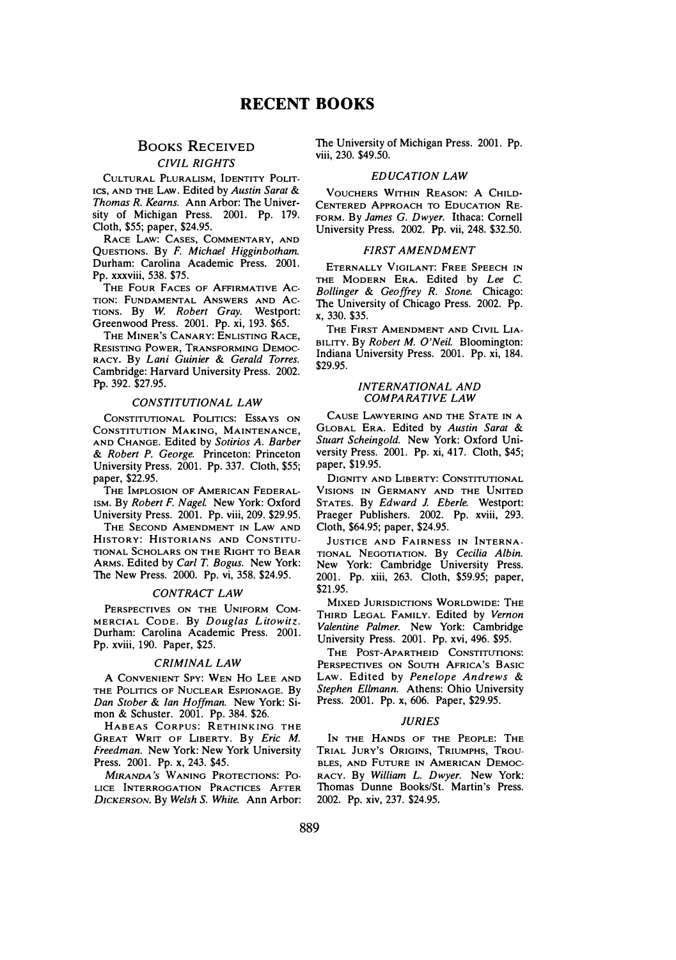# BOOKS RECEIVED CIVIL RIGHTS

CULTURAL PLURALISM, IDENTITY POLIT· 1cs, AND THE LAw. Edited by Austin Sarat & Thomas R. Kearns. Ann Arbor: The University of Michigan Press. 2001. Pp. 179. Cloth, \$55; paper, \$24.95.

RACE LAW: CASES, COMMENTARY, AND QuESTIONS. By F. Michael Higginbotham. Durham: Carolina Academic Press. 2001. Pp. xxxviii, 538. \$75.

THE FouR FACES OF AFFIRMATIVE Ac-TION: FUNDAMENTAL ANSWERS AND AC-TIONS. By W. Robert Gray. Westport: Greenwood Press. 2001. Pp. xi, 193. \$65.

THE MINER'S CANARY: ENLISTING RACE, RESISTING POWER, TRANSFORMING DEMOC-RACY. By Lani Guinier & Gerald Torres. Cambridge: Harvard University Press. 2002. Pp. 392. \$27.95.

# CONSTITUTIONAL LAW

CONSTITUTIONAL POLITICS: EssA YS ON CONSTITUTION MAKING, MAINTENANCE, AND CHANGE. Edited by Sotirios A. Barber & Robert P. George. Princeton: Princeton University Press. 2001. Pp. 337. Cloth, \$55; paper, \$22.95.

THE IMPLOSION OF AMERICAN FEDERAL-ISM. By Robert F. Nagel. New York: Oxford University Press. 2001. Pp. viii, 209. \$29.95.

THE SECOND AMENDMENT IN LAW AND HISTORY: HISTORIANS AND CONSTITU-TIONAL SCHOLARS ON THE RIGHT TO BEAR ARMS. Edited by Carl T. Bogus. New York: The New Press. 2000. Pp. vi, 358. \$24.95.

# CONTRACT LAW

PERSPECTIVES ON THE UNIFORM COM-MERCIAL CODE. By Douglas Litowitz. Durham: Carolina Academic Press. 2001. Pp. xviii, 190. Paper, \$25.

# CRIMINAL LAW

A CONVENIENT SPY: WEN Ho LEE AND THE POLITICS OF NUCLEAR ESPIONAGE. By Dan Stober & Jan Hoffman. New York: Simon & Schuster. 2001. Pp. 384. \$26.

HABEAS CORPUS: RETHINKING THE GREAT WRIT OF LIBERTY. By Eric M. Freedman. New York: New York University Press. 2001. Pp. x, 243. \$45.

MIRANDA'S WANING PROTECTIONS: PO-LICE INTERROGATION PRACTICES AFTER DICKERSON. By Welsh S. White. Ann Arbor: The University of Michigan Press. 2001. Pp. viii, 230. \$49.50.

# EDUCATION LAW

VOUCHERS WITHIN REASON: A CHILD-CENTERED APPROACH TO EDUCATION RE-FORM. By James G. Dwyer. Ithaca: Cornell University Press. 2002. Pp. vii, 248. \$32.50.

# FIRST AMENDMENT

ETERNALLY VIGILANT: FREE SPEECH IN THE MODERN ERA. Edited by Lee C. Bollinger & Geoffrey R. Stone. Chicago: The University of Chicago Press. 2002. Pp. x, 330. \$35.

THE FIRST AMENDMENT AND CIVIL LIA-BILITY. By Robert M. O'Neil. Bloomington: Indiana University Press. 2001. Pp. xi, 184. \$29.95.

# INTERNATIONAL AND COMPARATIVE LAW

CAUSE LAWYERING AND THE STATE IN A GLOBAL ERA. Edited by Austin Sarai & Stuart Scheingold. New York: Oxford University Press. 2001. Pp. xi, 417. Cloth, \$45; paper, \$19.95.

DIGNITY AND LIBERTY: CONSTITUTIONAL VISIONS IN GERMANY AND THE UNITED STATES. By Edward J. Eberle. Westport: Praeger Publishers. 2002. Pp. xviii, 293. Cloth, \$64.95; paper, \$24.95.

JUSTICE AND FAIRNESS IN INTERNA-TIONAL NEGOTIATION. By Cecilia Albin. New York: Cambridge University Press. 2001. Pp. xiii, 263. Cloth, \$59.95; paper, \$21.95.

MIXED JURISDICTIONS WORLDWIDE: THE THIRD LEGAL FAMILY. Edited by Vernon Valentine Palmer. New York: Cambridge University Press. 2001. Pp. xvi, 496. \$95.

THE POST-APARTHEID CONSTITUTIONS: PERSPECTIVES ON SOUTH AFRICA'S BASIC LAW. Edited by Penelope Andrews & Stephen Ellmann. Athens: Ohio University Press. 2001. Pp. x, 606. Paper, \$29.95.

# *HIRIES*

IN THE HANDS OF THE PEOPLE: THE TRIAL JURY'S ORIGINS, TRIUMPHS, TROU-BLES, AND FUTURE IN AMERICAN DEMOC-RACY. By William L. Dwyer. New York: Thomas Dunne Books/St. Martin's Press. 2002. Pp. xiv, 237. \$24.95.